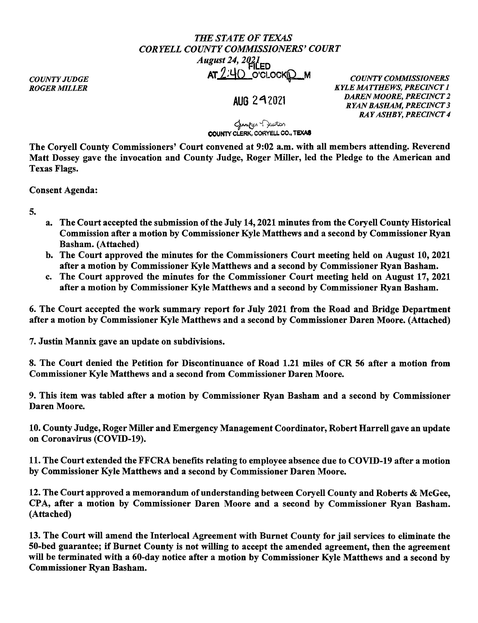## *THE STATE OF TEXAS CORYELLCOUNTYCOMMISSIONERS'COURT August 24, 2021*<br>**FILED** AT 2;4Q O'CLOC~M *COUNTY COMMISSIONERS*

*COUNTY JUDGE ROGER MILLER* 

**AUG** 2&\ 2021

*KYLE MATTHEWS, PRECINCT 1 DAREN MOORE, PRECINCT 2 RYAN BASHAM, PRECINCT 3 RAY ASHBY, PRECINCT 4* 

ستانس ( مسار<sub>ک</sub>ه میرانستان)<br>**#COUNTY CLERK, CORYELL CO., TEXAS** 

The Coryell County Commissioners' Court convened at 9:02 a.m. with all members attending. Reverend Matt Dossey gave the invocation and County Judge, Roger Miller, led the Pledge to the American and Texas Flags.

Consent Agenda:

5.

- a. The Court accepted the submission of the July 14, 2021 minutes from the Coryell County Historical Commission after a motion by Commissioner Kyle Matthews and a second by Commissioner Ryan Basham. (Attached)
- b. The Court approved the minutes for the Commissioners Court meeting held on August 10, 2021 after a motion by Commissioner Kyle Matthews and a second by Commissioner Ryan Basham.
- c. The Court approved the minutes for the Commissioner Court meeting held on August 17, 2021 after a motion by Commissioner Kyle Matthews and a second by Commissioner Ryan Basham.

6. The Court accepted the work summary report for July 2021 from the Road and Bridge Department after a motion by Commissioner Kyle Matthews and a second by Commissioner Daren Moore. (Attached)

7. Justin Mannix gave an update on subdivisions.

8. The Court denied the Petition for Discontinuance of Road 1.21 miles of CR 56 after a motion from Commissioner Kyle Matthews and a second from Commissioner Daren Moore.

9. This item was tabled after a motion by Commissioner Ryan Basham and a second by Commissioner Daren Moore.

10. County Judge, Roger Miller and Emergency Management Coordinator, Robert Harrell gave an update on Coronavirus (COVID-19).

11. The Court extended the FFCRA benefits relating to employee absence due to COVID-19 after a motion by Commissioner Kyle Matthews and a second by Commissioner Daren Moore.

12. The Court approved a memorandum of understanding between Coryell County and Roberts & McGee, CPA, after a motion by Commissioner Daren Moore and a second by Commissioner Ryan Basham. (Attached)

13. The Court will amend the Interlocal Agreement with Burnet County for jail services to eliminate the 50-bed guarantee; if Burnet County is not willing to accept the amended agreement, then the agreement will be terminated with a 60-day notice after a motion by Commissioner Kyle Matthews and a second by Commissioner Ryan Basham.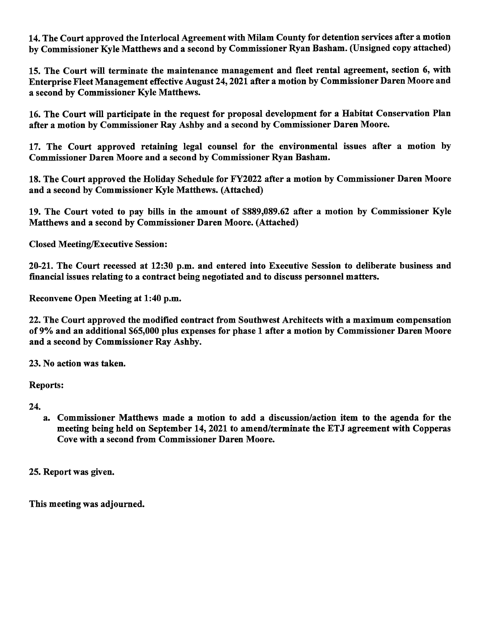14. The Court approved the Interlocal Agreement with Milam County for detention services after a motion by Commissioner Kyle Matthews and a second by Commissioner Ryan Basham. (Unsigned copy attached)

15. The Court will terminate the maintenance management and fleet rental agreement, section 6, with Enterprise Fleet Management effective August 24, 2021 after a motion by Commissioner Daren Moore and a second by Commissioner Kyle Matthews.

16. The Court will participate in the request for proposal development for a Habitat Conservation Plan after a motion by Commissioner Ray Ashby and a second by Commissioner Daren Moore.

17. The Court approved retaining legal counsel for the environmental issues after a motion by Commissioner Daren Moore and a second by Commissioner Ryan Basham.

18. The Court approved the Holiday Schedule for FY2022 after a motion by Commissioner Daren Moore and a second by Commissioner Kyle Matthews. (Attached)

19. The Court voted to pay bills in the amount of \$889,089.62 after a motion by Commissioner Kyle Matthews and a second by Commissioner Daren Moore. (Attached)

Closed Meeting/Executive Session:

20-21. The Court recessed at 12:30 p.m. and entered into Executive Session to deliberate business and financial issues relating to a contract being negotiated and to discuss personnel matters.

Reconvene Open Meeting at 1:40 p.m.

22. The Court approved the modified contract from Southwest Architects with a maximum compensation of 9% and an additional \$65,000 plus expenses for phase 1 after a motion by Commissioner Daren Moore and a second by Commissioner Ray Ashby.

23. No action was taken.

Reports:

24.

a. Commissioner Matthews made a motion to add a discussion/action item to the agenda for the meeting being held on September 14, 2021 to amend/terminate the ETJ agreement with Copperas Cove with a second from Commissioner Daren Moore.

25. Report was given.

This meeting was adjourned.